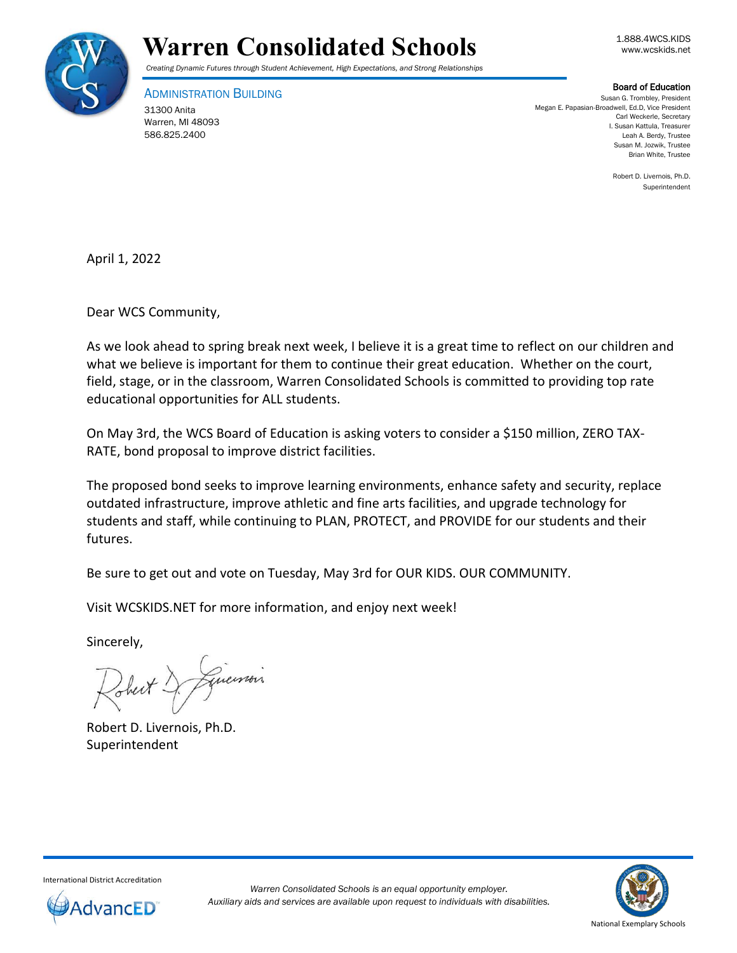

## Warren Consolidated Schools **Warren** Consolidated Schools

*Creating Dynamic Futures through Student Achievement, High Expectations, and Strong Relationships*

ADMINISTRATION BUILDING

31300 Anita Warren, MI 48093 586.825.2400

Board of Education

Susan G. Trombley, President Megan E. Papasian-Broadwell, Ed.D, Vice President Carl Weckerle, Secretary I. Susan Kattula, Treasurer Leah A. Berdy, Trustee Susan M. Jozwik, Trustee Brian White, Trustee

> Robert D. Livernois, Ph.D. Superintendent

April 1, 2022

Dear WCS Community,

As we look ahead to spring break next week, I believe it is a great time to reflect on our children and what we believe is important for them to continue their great education. Whether on the court, field, stage, or in the classroom, Warren Consolidated Schools is committed to providing top rate educational opportunities for ALL students.

On May 3rd, the WCS Board of Education is asking voters to consider a \$150 million, ZERO TAX-RATE, bond proposal to improve district facilities.

The proposed bond seeks to improve learning environments, enhance safety and security, replace outdated infrastructure, improve athletic and fine arts facilities, and upgrade technology for students and staff, while continuing to PLAN, PROTECT, and PROVIDE for our students and their futures.

Be sure to get out and vote on Tuesday, May 3rd for OUR KIDS. OUR COMMUNITY.

Visit WCSKIDS.NET for more information, and enjoy next week!

Sincerely,

Robert D. Livernois, Ph.D. Superintendent



International District Accreditation